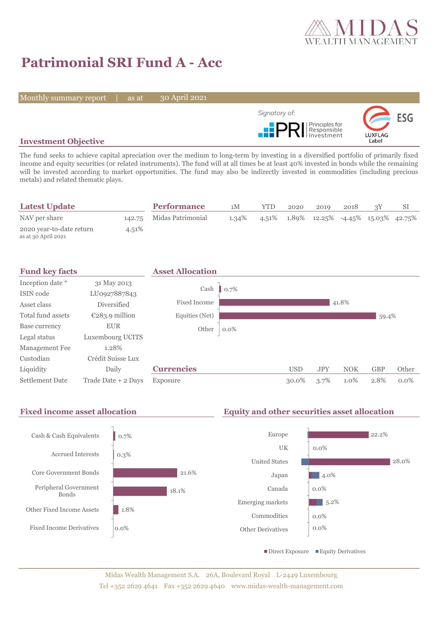

# **Patrimonial SRI Fund A - Acc**

Monthly summary report | as at

30 April 2021



## **Investment Objective**

The fund seeks to achieve capital apreciation over the medium to long-term by investing in a diversified portfolio of primarily fixed income and equity securities (or related instruments). The fund will at all times be at least 40% invested in bonds while the remaining will be invested according to market opportunities. The fund may also be indirectly invested in commodities (including precious metals) and related thematic plays.

| <b>Latest Update</b>                            |       | <b>Performance</b>       | 1M    | YTD | 2020 | 2019                                                      | 2018 |  |
|-------------------------------------------------|-------|--------------------------|-------|-----|------|-----------------------------------------------------------|------|--|
| NAV per share                                   |       | 142.75 Midas Patrimonial | 1.34% |     |      | $4.51\%$ $1.89\%$ $12.25\%$ $-4.45\%$ $15.03\%$ $42.75\%$ |      |  |
| 2020 year-to-date return<br>as at 30 April 2021 | 4.51% |                          |       |     |      |                                                           |      |  |



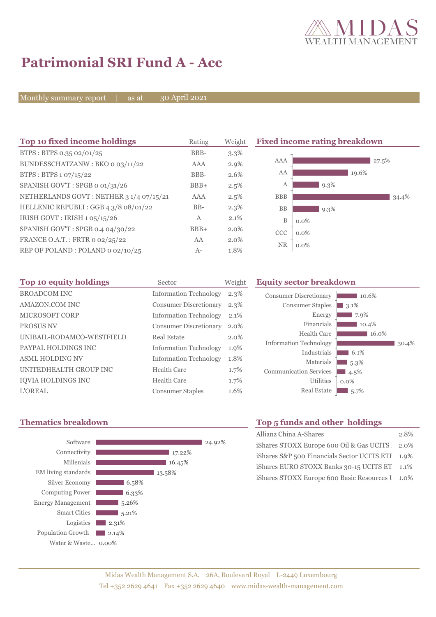

 $10.6%$ 

30.4%

**3.1%**  $\Box$  7.9%  $10.4%$  $16.0\%$ 

 $6.1\%$ 5.3%  $\blacksquare$  4.5% 0.0%

## **Patrimonial SRI Fund A - Acc**

Monthly summary report | as at

30 April 2021

| Top 10 fixed income holdings            | Rating       | Weight  |             | <b>Fixed income rating breakdown</b> |
|-----------------------------------------|--------------|---------|-------------|--------------------------------------|
| BTPS: BTPS 0.35 02/01/25                | BBB-         | $3.3\%$ |             |                                      |
| BUNDESSCHATZANW: BKO 0 03/11/22         | AAA          | $2.9\%$ | AAA         | $27.5\%$                             |
| BTPS : BTPS $1.07/15/22$                | BBB-         | 2.6%    | AA          | 19.6%                                |
| SPANISH GOV'T: SPGB o 01/31/26          | $BBB+$       | 2.5%    | А           | $9.3\%$                              |
| NETHERLANDS GOVT: NETHER 3 1/4 07/15/21 | <b>AAA</b>   | 2.5%    | <b>BBB</b>  | 34.4%                                |
| HELLENIC REPUBLI : GGB 4 3/8 08/01/22   | $BB-$        | $2.3\%$ | <b>BB</b>   | $9.3\%$                              |
| IRISH GOVT: IRISH 1 05/15/26            | $\mathbf{A}$ | 2.1%    | $\mathbf B$ | $0.0\%$                              |
| SPANISH GOV'T: SPGB 0.4 04/30/22        | $BBB+$       | 2.0%    | <b>CCC</b>  | $0.0\%$                              |
| FRANCE O.A.T.: FRTR 0 02/25/22          | AA           | 2.0%    |             |                                      |
| REP OF POLAND: POLAND 0 02/10/25        | $A-$         | 1.8%    | <b>NR</b>   | $0.0\%$                              |

| Top 10 equity holdings    | Sector                        | Weight  | <b>Equity sector breakdown</b> |                  |
|---------------------------|-------------------------------|---------|--------------------------------|------------------|
| <b>BROADCOM INC</b>       | <b>Information Technology</b> | $2.3\%$ | <b>Consumer Discretionary</b>  |                  |
| <b>AMAZON.COM INC</b>     | Consumer Discretionary        | $2.3\%$ | <b>Consumer Staples</b>        | 3.1 <sup>6</sup> |
| <b>MICROSOFT CORP</b>     | <b>Information Technology</b> | $2.1\%$ | Energy                         |                  |
| <b>PROSUS NV</b>          | Consumer Discretionary        | 2.0%    | Financials                     |                  |
| UNIBAIL-RODAMCO-WESTFIELD | Real Estate                   | $2.0\%$ | Health Care                    |                  |
| PAYPAL HOLDINGS INC       | <b>Information Technology</b> | 1.9%    | <b>Information Technology</b>  |                  |
| <b>ASML HOLDING NV</b>    | <b>Information Technology</b> | 1.8%    | Industrials<br>Materials       | 6                |
| UNITEDHEALTH GROUP INC    | Health Care                   | $1.7\%$ | <b>Communication Services</b>  | 5.<br>4.5        |
| <b>IQVIA HOLDINGS INC</b> | <b>Health Care</b>            | 1.7%    | Utilities                      | $0.0\%$          |
| <b>L'OREAL</b>            | <b>Consumer Staples</b>       | 1.6%    | <b>Real Estate</b>             | - 5.             |

## **Thematics breakdown**



#### $\Box$  5.7% Real Estate

| Top 5 funds and other holdings                      |      |  |  |  |  |
|-----------------------------------------------------|------|--|--|--|--|
| Allianz China A-Shares                              | 2.8% |  |  |  |  |
| iShares STOXX Europe 600 Oil & Gas UCITS 2.0%       |      |  |  |  |  |
| iShares $S\&P$ 500 Financials Sector UCITS ETI 1.9% |      |  |  |  |  |
| iShares EURO STOXX Banks 30-15 UCITS ET             | 1.1% |  |  |  |  |
| iShares STOXX Europe 600 Basic Resources I 1.0%     |      |  |  |  |  |